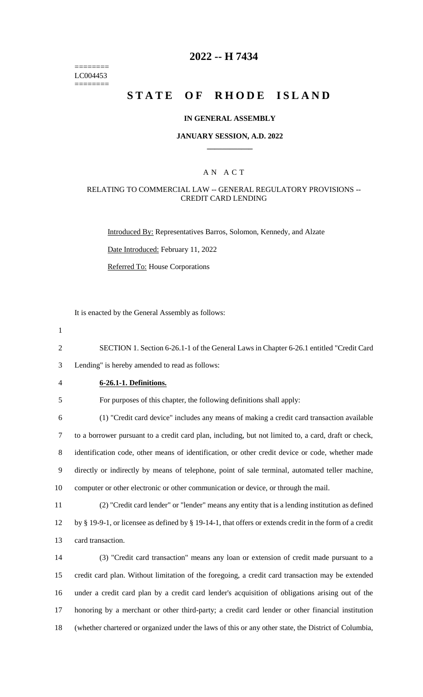======== LC004453 ========

# **2022 -- H 7434**

# **STATE OF RHODE ISLAND**

## **IN GENERAL ASSEMBLY**

#### **JANUARY SESSION, A.D. 2022 \_\_\_\_\_\_\_\_\_\_\_\_**

## A N A C T

## RELATING TO COMMERCIAL LAW -- GENERAL REGULATORY PROVISIONS -- CREDIT CARD LENDING

Introduced By: Representatives Barros, Solomon, Kennedy, and Alzate

Date Introduced: February 11, 2022

Referred To: House Corporations

It is enacted by the General Assembly as follows:

1

2 SECTION 1. Section 6-26.1-1 of the General Laws in Chapter 6-26.1 entitled "Credit Card

3 Lending" is hereby amended to read as follows:

## 4 **6-26.1-1. Definitions.**

5 For purposes of this chapter, the following definitions shall apply:

 (1) "Credit card device" includes any means of making a credit card transaction available to a borrower pursuant to a credit card plan, including, but not limited to, a card, draft or check, identification code, other means of identification, or other credit device or code, whether made directly or indirectly by means of telephone, point of sale terminal, automated teller machine, computer or other electronic or other communication or device, or through the mail.

11 (2) "Credit card lender" or "lender" means any entity that is a lending institution as defined

12 by § 19-9-1, or licensee as defined by § 19-14-1, that offers or extends credit in the form of a credit 13 card transaction.

 (3) "Credit card transaction" means any loan or extension of credit made pursuant to a credit card plan. Without limitation of the foregoing, a credit card transaction may be extended under a credit card plan by a credit card lender's acquisition of obligations arising out of the honoring by a merchant or other third-party; a credit card lender or other financial institution (whether chartered or organized under the laws of this or any other state, the District of Columbia,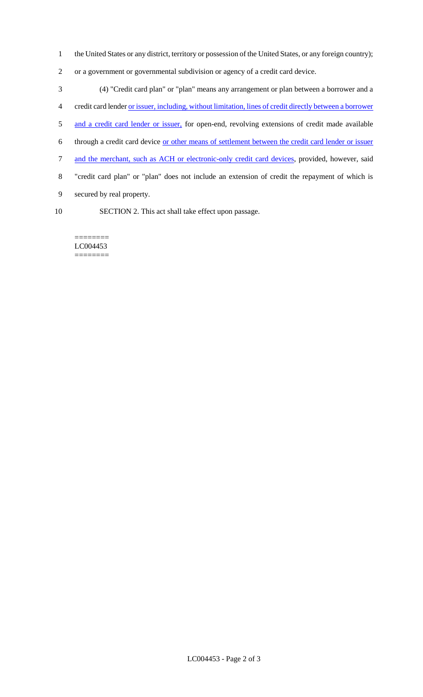- 1 the United States or any district, territory or possession of the United States, or any foreign country);
- 2 or a government or governmental subdivision or agency of a credit card device.

 (4) "Credit card plan" or "plan" means any arrangement or plan between a borrower and a credit card lender or issuer, including, without limitation, lines of credit directly between a borrower 5 and a credit card lender or issuer, for open-end, revolving extensions of credit made available through a credit card device or other means of settlement between the credit card lender or issuer 7 and the merchant, such as ACH or electronic-only credit card devices, provided, however, said "credit card plan" or "plan" does not include an extension of credit the repayment of which is secured by real property. SECTION 2. This act shall take effect upon passage.

======== LC004453 ========